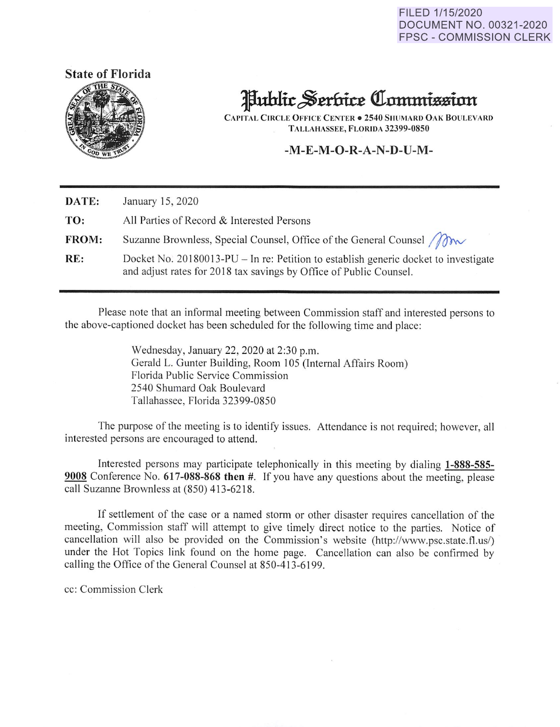FILED 1/15/2020 DOCUMENT NO. 00321-2020 FPSC - COMMISSION CLERK





## Public Serbice Commission

**CAPITAL CIRCLE OFFICE CENTER• 2540 SHUMARD OAK BOULEVARD TALLAHASSEE, FLORIDA 32399-0850** 

## **-M-E-M-O-R-A-N-D-U-M-**

| DATE:        | January 15, 2020                                                                                                                                          |
|--------------|-----------------------------------------------------------------------------------------------------------------------------------------------------------|
| TO:          | All Parties of Record & Interested Persons                                                                                                                |
| <b>FROM:</b> | Suzanne Brownless, Special Counsel, Office of the General Counsel <i>M</i>                                                                                |
| RE:          | Docket No. 20180013-PU – In re: Petition to establish generic docket to investigate<br>and adjust rates for 2018 tax savings by Office of Public Counsel. |

Please note that an informal meeting between Commission staff and interested persons to the above-captioned docket has been scheduled for the following time and place:

> Wednesday, January 22, 2020 at 2:30 p.m. Gerald L. Gunter Building, Room 105 (Internal Affairs Room) Florida Public Service Commission 2540 Shumard Oak Boulevard Tallahassee, Florida 32399-0850

The purpose of the meeting is to identify issues. Attendance is not required; however, all interested persons are encouraged to attend.

Interested persons may participate telephonically in this meeting by dialing **1-888-585- <sup>9008</sup>**Conference No. **617-088-868 then** #. If you have any questions about the meeting, please call Suzanne Brownless at (850) 413-6218.

If settlement of the case or a named storm or other disaster requires cancellation of the meeting, Commission staff will attempt to give timely direct notice to the parties. Notice of cancellation will also be provided on the Commission's website (http://www.psc.state.fl.us/) under the Hot Topics link found on the home page. Cancellation can also be confirmed by calling the Office of the General Counsel at 850-413-6199.

cc: Commission Clerk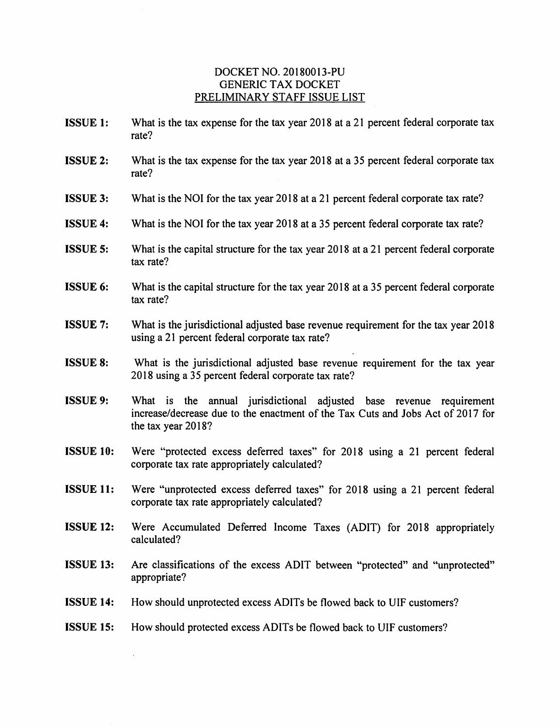## DOCKET NO. 20180013-PU GENERIC TAX DOCKET PRELIMINARY STAFF ISSUE LIST

- **ISSUE 1:** What is the tax expense for the tax year 2018 at a 21 percent federal corporate tax rate?
- **ISSUE 2:** What is the tax expense for the tax year 2018 at a 35 percent federal corporate tax rate?
- **ISSUE 3:** What is the NOI for the tax year 2018 at a 21 percent federal corporate tax rate?
- **ISSUE 4:** What is the NOI for the tax year 2018 at a 35 percent federal corporate tax rate?
- **ISSUE 5:** What is the capital structure for the tax year 2018 at a 21 percent federal corporate tax rate?
- **ISSUE 6:** What is the capital structure for the tax year 2018 at a 35 percent federal corporate tax rate?
- **ISSUE 7:** What is the jurisdictional adjusted base revenue requirement for the tax year 2018 using a 21 percent federal corporate tax rate?
- **ISSUE 8:** What is the jurisdictional adjusted base revenue requirement for the tax year 2018 using a 35 percent federal corporate tax rate?
- **ISSUE 9:** What is the annual jurisdictional adjusted base revenue requirement increase/decrease due to the enactment of the Tax Cuts and Jobs Act of 2017 for the tax year 2018?
- **ISSUE 10:** Were "protected excess deferred taxes" for 2018 using a 21 percent federal corporate tax rate appropriately calculated?
- **ISSUE 11:** Were "unprotected excess deferred taxes" for 2018 using a 21 percent federal corporate tax rate appropriately calculated?
- **ISSUE 12:** Were Accumulated Deferred Income Taxes (ADIT) for 2018 appropriately calculated?
- **ISSUE 13:** Are classifications of the excess ADIT between "protected" and "unprotected" appropriate?
- **ISSUE 14:** How should unprotected excess ADITs be flowed back to UIF customers?
- **ISSUE 15:** How should protected excess ADITs be flowed back to UIF customers?